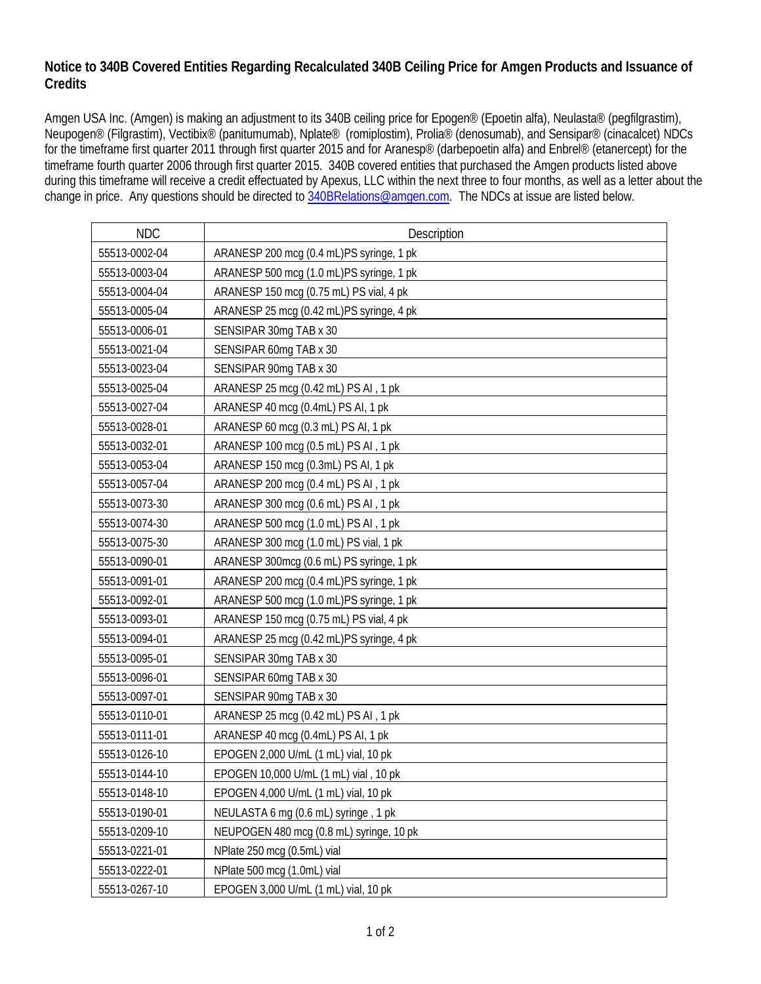## **Notice to 340B Covered Entities Regarding Recalculated 340B Ceiling Price for Amgen Products and Issuance of Credits**

Amgen USA Inc. (Amgen) is making an adjustment to its 340B ceiling price for Epogen® (Epoetin alfa), Neulasta® (pegfilgrastim), Neupogen® (Filgrastim), Vectibix® (panitumumab), Nplate® (romiplostim), Prolia® (denosumab), and Sensipar® (cinacalcet) NDCs for the timeframe first quarter 2011 through first quarter 2015 and for Aranesp® (darbepoetin alfa) and Enbrel® (etanercept) for the timeframe fourth quarter 2006 through first quarter 2015. 340B covered entities that purchased the Amgen products listed above during this timeframe will receive a credit effectuated by Apexus, LLC within the next three to four months, as well as a letter about the change in price. Any questions should be directed to [340BRelations@amgen.com.](mailto:340BRelations@amgen.com) The NDCs at issue are listed below.

| <b>NDC</b>    | Description                              |
|---------------|------------------------------------------|
| 55513-0002-04 | ARANESP 200 mcg (0.4 mL)PS syringe, 1 pk |
| 55513-0003-04 | ARANESP 500 mcg (1.0 mL)PS syringe, 1 pk |
| 55513-0004-04 | ARANESP 150 mcg (0.75 mL) PS vial, 4 pk  |
| 55513-0005-04 | ARANESP 25 mcg (0.42 mL)PS syringe, 4 pk |
| 55513-0006-01 | SENSIPAR 30mg TAB x 30                   |
| 55513-0021-04 | SENSIPAR 60mg TAB x 30                   |
| 55513-0023-04 | SENSIPAR 90mg TAB x 30                   |
| 55513-0025-04 | ARANESP 25 mcg (0.42 mL) PS AI, 1 pk     |
| 55513-0027-04 | ARANESP 40 mcg (0.4mL) PS AI, 1 pk       |
| 55513-0028-01 | ARANESP 60 mcg (0.3 mL) PS AI, 1 pk      |
| 55513-0032-01 | ARANESP 100 mcg (0.5 mL) PS AI , 1 pk    |
| 55513-0053-04 | ARANESP 150 mcg (0.3mL) PS AI, 1 pk      |
| 55513-0057-04 | ARANESP 200 mcg (0.4 mL) PS AI, 1 pk     |
| 55513-0073-30 | ARANESP 300 mcg (0.6 mL) PS AI , 1 pk    |
| 55513-0074-30 | ARANESP 500 mcg (1.0 mL) PS AI , 1 pk    |
| 55513-0075-30 | ARANESP 300 mcg (1.0 mL) PS vial, 1 pk   |
| 55513-0090-01 | ARANESP 300mcg (0.6 mL) PS syringe, 1 pk |
| 55513-0091-01 | ARANESP 200 mcg (0.4 mL)PS syringe, 1 pk |
| 55513-0092-01 | ARANESP 500 mcg (1.0 mL)PS syringe, 1 pk |
| 55513-0093-01 | ARANESP 150 mcg (0.75 mL) PS vial, 4 pk  |
| 55513-0094-01 | ARANESP 25 mcg (0.42 mL)PS syringe, 4 pk |
| 55513-0095-01 | SENSIPAR 30mg TAB x 30                   |
| 55513-0096-01 | SENSIPAR 60mg TAB x 30                   |
| 55513-0097-01 | SENSIPAR 90mg TAB x 30                   |
| 55513-0110-01 | ARANESP 25 mcg (0.42 mL) PS AI , 1 pk    |
| 55513-0111-01 | ARANESP 40 mcg (0.4mL) PS AI, 1 pk       |
| 55513-0126-10 | EPOGEN 2,000 U/mL (1 mL) vial, 10 pk     |
| 55513-0144-10 | EPOGEN 10,000 U/mL (1 mL) vial, 10 pk    |
| 55513-0148-10 | EPOGEN 4,000 U/mL (1 mL) vial, 10 pk     |
| 55513-0190-01 | NEULASTA 6 mg (0.6 mL) syringe, 1 pk     |
| 55513-0209-10 | NEUPOGEN 480 mcg (0.8 mL) syringe, 10 pk |
| 55513-0221-01 | NPlate 250 mcg (0.5mL) vial              |
| 55513-0222-01 | NPlate 500 mcg (1.0mL) vial              |
| 55513-0267-10 | EPOGEN 3,000 U/mL (1 mL) vial, 10 pk     |